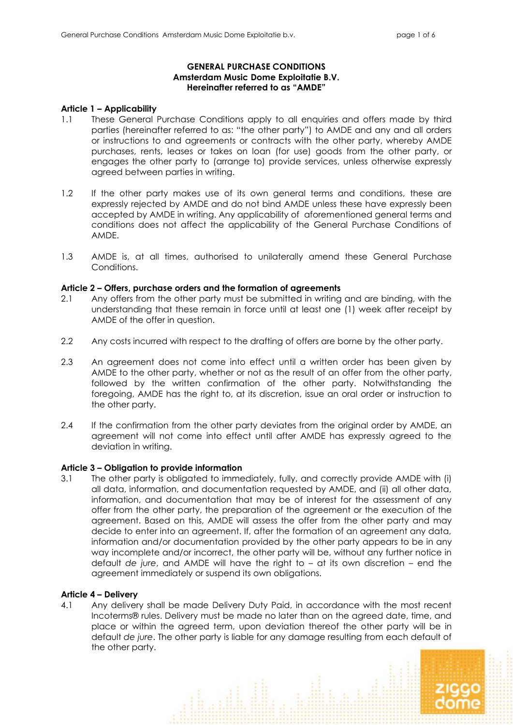# **GENERAL PURCHASE CONDITIONS Amsterdam Music Dome Exploitatie B.V. Hereinafter referred to as "AMDE"**

## **Article 1 – Applicability**

- 1.1 These General Purchase Conditions apply to all enquiries and offers made by third parties (hereinafter referred to as: "the other party") to AMDE and any and all orders or instructions to and agreements or contracts with the other party, whereby AMDE purchases, rents, leases or takes on loan (for use) goods from the other party, or engages the other party to (arrange to) provide services, unless otherwise expressly agreed between parties in writing.
- 1.2 If the other party makes use of its own general terms and conditions, these are expressly rejected by AMDE and do not bind AMDE unless these have expressly been accepted by AMDE in writing. Any applicability of aforementioned general terms and conditions does not affect the applicability of the General Purchase Conditions of AMDE.
- 1.3 AMDE is, at all times, authorised to unilaterally amend these General Purchase Conditions.

## **Article 2 – Offers, purchase orders and the formation of agreements**

- 2.1 Any offers from the other party must be submitted in writing and are binding, with the understanding that these remain in force until at least one (1) week after receipt by AMDE of the offer in question.
- 2.2 Any costs incurred with respect to the drafting of offers are borne by the other party.
- 2.3 An agreement does not come into effect until a written order has been given by AMDE to the other party, whether or not as the result of an offer from the other party, followed by the written confirmation of the other party. Notwithstanding the foregoing, AMDE has the right to, at its discretion, issue an oral order or instruction to the other party.
- 2.4 If the confirmation from the other party deviates from the original order by AMDE, an agreement will not come into effect until after AMDE has expressly agreed to the deviation in writing.

# **Article 3 – Obligation to provide information**

3.1 The other party is obligated to immediately, fully, and correctly provide AMDE with (i) all data, information, and documentation requested by AMDE, and (ii) all other data, information, and documentation that may be of interest for the assessment of any offer from the other party, the preparation of the agreement or the execution of the agreement. Based on this, AMDE will assess the offer from the other party and may decide to enter into an agreement. If, after the formation of an agreement any data, information and/or documentation provided by the other party appears to be in any way incomplete and/or incorrect, the other party will be, without any further notice in default *de jure*, and AMDE will have the right to – at its own discretion – end the agreement immediately or suspend its own obligations.

#### **Article 4 – Delivery**

4.1 Any delivery shall be made Delivery Duty Paid, in accordance with the most recent Incoterms® rules. Delivery must be made no later than on the agreed date, time, and place or within the agreed term, upon deviation thereof the other party will be in default *de jure*. The other party is liable for any damage resulting from each default of the other party.

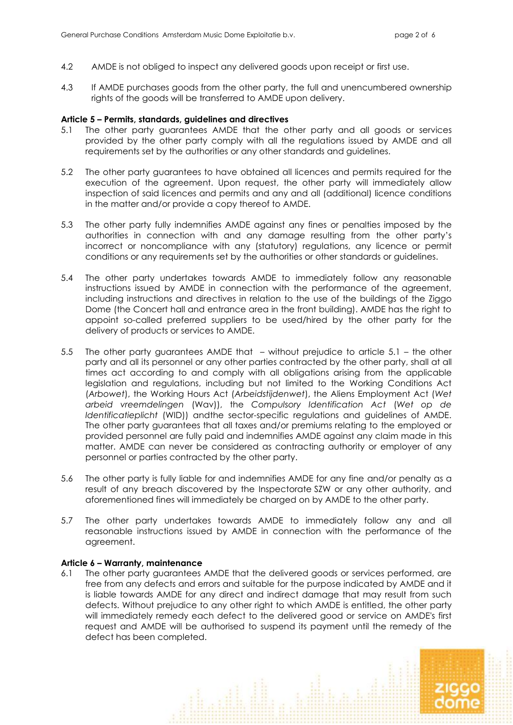- 4.2 AMDE is not obliged to inspect any delivered goods upon receipt or first use.
- 4.3 If AMDE purchases goods from the other party, the full and unencumbered ownership rights of the goods will be transferred to AMDE upon delivery.

#### **Article 5 – Permits, standards, guidelines and directives**

- 5.1 The other party guarantees AMDE that the other party and all goods or services provided by the other party comply with all the regulations issued by AMDE and all requirements set by the authorities or any other standards and guidelines.
- 5.2 The other party guarantees to have obtained all licences and permits required for the execution of the agreement. Upon request, the other party will immediately allow inspection of said licences and permits and any and all (additional) licence conditions in the matter and/or provide a copy thereof to AMDE.
- 5.3 The other party fully indemnifies AMDE against any fines or penalties imposed by the authorities in connection with and any damage resulting from the other party's incorrect or noncompliance with any (statutory) regulations, any licence or permit conditions or any requirements set by the authorities or other standards or guidelines.
- 5.4 The other party undertakes towards AMDE to immediately follow any reasonable instructions issued by AMDE in connection with the performance of the agreement, including instructions and directives in relation to the use of the buildings of the Ziggo Dome (the Concert hall and entrance area in the front building). AMDE has the right to appoint so-called preferred suppliers to be used/hired by the other party for the delivery of products or services to AMDE.
- 5.5 The other party guarantees AMDE that without prejudice to article 5.1 the other party and all its personnel or any other parties contracted by the other party, shall at all times act according to and comply with all obligations arising from the applicable legislation and regulations, including but not limited to the Working Conditions Act (*Arbowet*), the Working Hours Act (*Arbeidstijdenwet*), the Aliens Employment Act (*Wet arbeid vreemdelingen* (Wav)), the *Compulsory Identification Act* (*Wet op de Identificatieplicht* (WID)) andthe sector-specific regulations and guidelines of AMDE. The other party guarantees that all taxes and/or premiums relating to the employed or provided personnel are fully paid and indemnifies AMDE against any claim made in this matter. AMDE can never be considered as contracting authority or employer of any personnel or parties contracted by the other party.
- 5.6 The other party is fully liable for and indemnifies AMDE for any fine and/or penalty as a result of any breach discovered by the Inspectorate SZW or any other authority, and aforementioned fines will immediately be charged on by AMDE to the other party.
- 5.7 The other party undertakes towards AMDE to immediately follow any and all reasonable instructions issued by AMDE in connection with the performance of the agreement.

#### **Article 6 – Warranty, maintenance**

6.1 The other party guarantees AMDE that the delivered goods or services performed, are free from any defects and errors and suitable for the purpose indicated by AMDE and it is liable towards AMDE for any direct and indirect damage that may result from such defects. Without prejudice to any other right to which AMDE is entitled, the other party will immediately remedy each defect to the delivered good or service on AMDE's first request and AMDE will be authorised to suspend its payment until the remedy of the defect has been completed.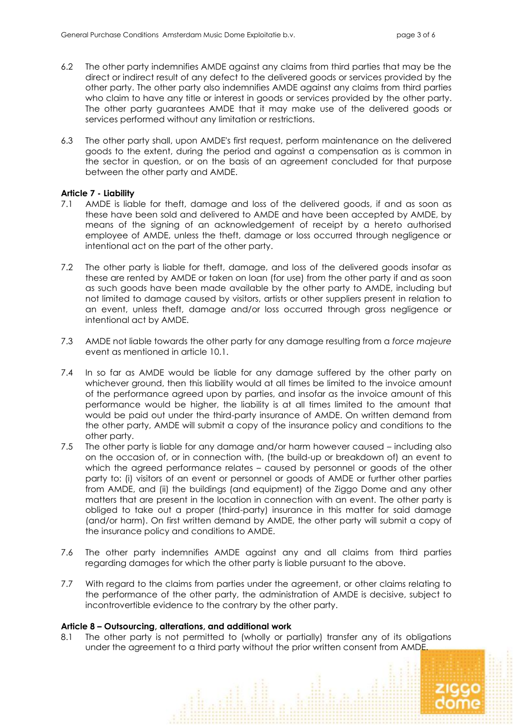- 6.2 The other party indemnifies AMDE against any claims from third parties that may be the direct or indirect result of any defect to the delivered goods or services provided by the other party. The other party also indemnifies AMDE against any claims from third parties who claim to have any title or interest in goods or services provided by the other party. The other party guarantees AMDE that it may make use of the delivered goods or services performed without any limitation or restrictions.
- 6.3 The other party shall, upon AMDE's first request, perform maintenance on the delivered goods to the extent, during the period and against a compensation as is common in the sector in question, or on the basis of an agreement concluded for that purpose between the other party and AMDE.

# **Article 7 - Liability**

- 7.1 AMDE is liable for theft, damage and loss of the delivered goods, if and as soon as these have been sold and delivered to AMDE and have been accepted by AMDE, by means of the signing of an acknowledgement of receipt by a hereto authorised employee of AMDE, unless the theft, damage or loss occurred through negligence or intentional act on the part of the other party.
- 7.2 The other party is liable for theft, damage, and loss of the delivered goods insofar as these are rented by AMDE or taken on loan (for use) from the other party if and as soon as such goods have been made available by the other party to AMDE, including but not limited to damage caused by visitors, artists or other suppliers present in relation to an event, unless theft, damage and/or loss occurred through gross negligence or intentional act by AMDE.
- 7.3 AMDE not liable towards the other party for any damage resulting from a *force majeure* event as mentioned in article 10.1.
- 7.4 In so far as AMDE would be liable for any damage suffered by the other party on whichever ground, then this liability would at all times be limited to the invoice amount of the performance agreed upon by parties, and insofar as the invoice amount of this performance would be higher, the liability is at all times limited to the amount that would be paid out under the third-party insurance of AMDE. On written demand from the other party, AMDE will submit a copy of the insurance policy and conditions to the other party.
- 7.5 The other party is liable for any damage and/or harm however caused including also on the occasion of, or in connection with, (the build-up or breakdown of) an event to which the agreed performance relates – caused by personnel or goods of the other party to: (i) visitors of an event or personnel or goods of AMDE or further other parties from AMDE, and (ii) the buildings (and equipment) of the Ziggo Dome and any other matters that are present in the location in connection with an event. The other party is obliged to take out a proper (third-party) insurance in this matter for said damage (and/or harm). On first written demand by AMDE, the other party will submit a copy of the insurance policy and conditions to AMDE.
- 7.6 The other party indemnifies AMDE against any and all claims from third parties regarding damages for which the other party is liable pursuant to the above.
- 7.7 With regard to the claims from parties under the agreement, or other claims relating to the performance of the other party, the administration of AMDE is decisive, subject to incontrovertible evidence to the contrary by the other party.

# **Article 8 – Outsourcing, alterations, and additional work**

8.1 The other party is not permitted to (wholly or partially) transfer any of its obligations under the agreement to a third party without the prior written consent from AMDE.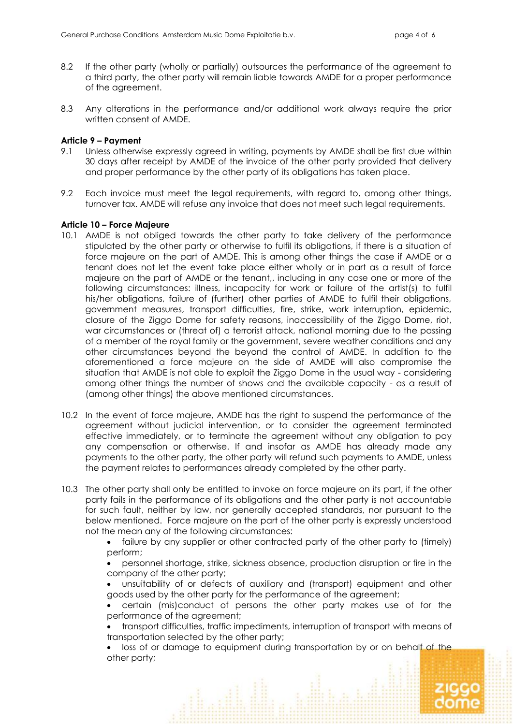- 8.2 If the other party (wholly or partially) outsources the performance of the agreement to a third party, the other party will remain liable towards AMDE for a proper performance of the agreement.
- 8.3 Any alterations in the performance and/or additional work always require the prior written consent of AMDE.

### **Article 9 – Payment**

- 9.1 Unless otherwise expressly agreed in writing, payments by AMDE shall be first due within 30 days after receipt by AMDE of the invoice of the other party provided that delivery and proper performance by the other party of its obligations has taken place.
- 9.2 Each invoice must meet the legal requirements, with regard to, among other things, turnover tax. AMDE will refuse any invoice that does not meet such legal requirements.

### **Article 10 – Force Majeure**

- 10.1 AMDE is not obliged towards the other party to take delivery of the performance stipulated by the other party or otherwise to fulfil its obligations, if there is a situation of force majeure on the part of AMDE. This is among other things the case if AMDE or a tenant does not let the event take place either wholly or in part as a result of force majeure on the part of AMDE or the tenant,, including in any case one or more of the following circumstances: illness, incapacity for work or failure of the artist(s) to fulfil his/her obligations, failure of (further) other parties of AMDE to fulfil their obligations, government measures, transport difficulties, fire, strike, work interruption, epidemic, closure of the Ziggo Dome for safety reasons, inaccessibility of the Ziggo Dome, riot, war circumstances or (threat of) a terrorist attack, national morning due to the passing of a member of the royal family or the government, severe weather conditions and any other circumstances beyond the beyond the control of AMDE. In addition to the aforementioned a force majeure on the side of AMDE will also compromise the situation that AMDE is not able to exploit the Ziggo Dome in the usual way - considering among other things the number of shows and the available capacity - as a result of (among other things) the above mentioned circumstances.
- 10.2 In the event of force majeure, AMDE has the right to suspend the performance of the agreement without judicial intervention, or to consider the agreement terminated effective immediately, or to terminate the agreement without any obligation to pay any compensation or otherwise. If and insofar as AMDE has already made any payments to the other party, the other party will refund such payments to AMDE, unless the payment relates to performances already completed by the other party.
- 10.3 The other party shall only be entitled to invoke on force majeure on its part, if the other party fails in the performance of its obligations and the other party is not accountable for such fault, neither by law, nor generally accepted standards, nor pursuant to the below mentioned. Force majeure on the part of the other party is expressly understood not the mean any of the following circumstances:

• failure by any supplier or other contracted party of the other party to (timely) perform;

• personnel shortage, strike, sickness absence, production disruption or fire in the company of the other party;

• unsuitability of or defects of auxiliary and (transport) equipment and other goods used by the other party for the performance of the agreement;

• certain (mis)conduct of persons the other party makes use of for the performance of the agreement;

• transport difficulties, traffic impediments, interruption of transport with means of transportation selected by the other party;

• loss of or damage to equipment during transportation by or on behalf of the other party;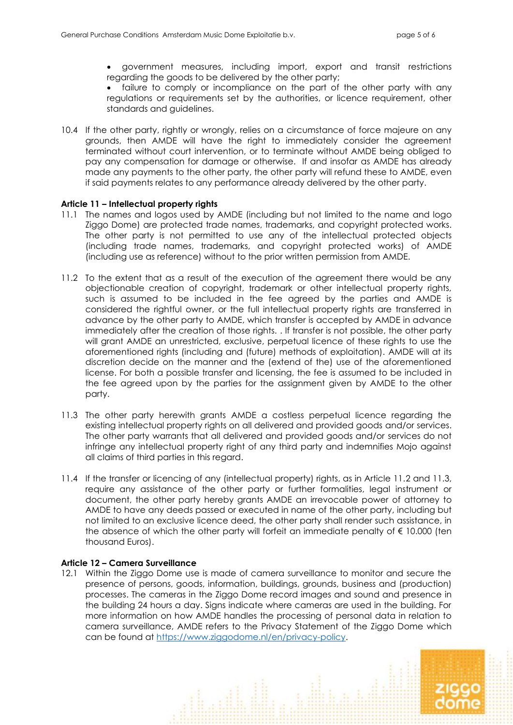• government measures, including import, export and transit restrictions regarding the goods to be delivered by the other party;

• failure to comply or incompliance on the part of the other party with any regulations or requirements set by the authorities, or licence requirement, other standards and guidelines.

10.4 If the other party, rightly or wrongly, relies on a circumstance of force majeure on any grounds, then AMDE will have the right to immediately consider the agreement terminated without court intervention, or to terminate without AMDE being obliged to pay any compensation for damage or otherwise. If and insofar as AMDE has already made any payments to the other party, the other party will refund these to AMDE, even if said payments relates to any performance already delivered by the other party.

### **Article 11 – Intellectual property rights**

- 11.1 The names and logos used by AMDE (including but not limited to the name and logo Ziggo Dome) are protected trade names, trademarks, and copyright protected works. The other party is not permitted to use any of the intellectual protected objects (including trade names, trademarks, and copyright protected works) of AMDE (including use as reference) without to the prior written permission from AMDE.
- 11.2 To the extent that as a result of the execution of the agreement there would be any objectionable creation of copyright, trademark or other intellectual property rights, such is assumed to be included in the fee agreed by the parties and AMDE is considered the rightful owner, or the full intellectual property rights are transferred in advance by the other party to AMDE, which transfer is accepted by AMDE in advance immediately after the creation of those rights. . If transfer is not possible, the other party will grant AMDE an unrestricted, exclusive, perpetual licence of these rights to use the aforementioned rights (including and (future) methods of exploitation). AMDE will at its discretion decide on the manner and the (extend of the) use of the aforementioned license. For both a possible transfer and licensing, the fee is assumed to be included in the fee agreed upon by the parties for the assignment given by AMDE to the other party.
- 11.3 The other party herewith grants AMDE a costless perpetual licence regarding the existing intellectual property rights on all delivered and provided goods and/or services. The other party warrants that all delivered and provided goods and/or services do not infringe any intellectual property right of any third party and indemnifies Mojo against all claims of third parties in this regard.
- 11.4 If the transfer or licencing of any (intellectual property) rights, as in Article 11.2 and 11.3, require any assistance of the other party or further formalities, legal instrument or document, the other party hereby grants AMDE an irrevocable power of attorney to AMDE to have any deeds passed or executed in name of the other party, including but not limited to an exclusive licence deed, the other party shall render such assistance, in the absence of which the other party will forfeit an immediate penalty of  $\epsilon$  10.000 (ten thousand Euros).

#### **Article 12 – Camera Surveillance**

12.1 Within the Ziggo Dome use is made of camera surveillance to monitor and secure the presence of persons, goods, information, buildings, grounds, business and (production) processes. The cameras in the Ziggo Dome record images and sound and presence in the building 24 hours a day. Signs indicate where cameras are used in the building. For more information on how AMDE handles the processing of personal data in relation to camera surveillance, AMDE refers to the Privacy Statement of the Ziggo Dome which can be found at [https://www.ziggodome.nl/en/privacy-policy.](https://www.ziggodome.nl/en/privacy-policy)